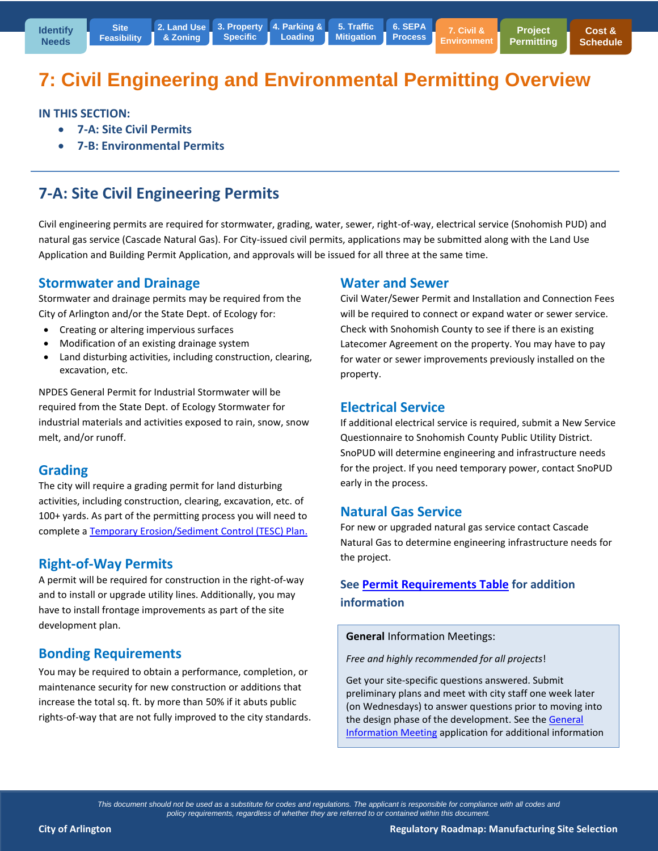# **7: Civil Engineering and Environmental Permitting Overview**

**Loading**

**IN THIS SECTION:** 

**7-A: Site Civil Permits** 

**Site [Feasibility](http://www.arlingtonwa.gov/roadmap-locationsearch)**

**7-B: Environmental Permits** 

# **7-A: Site Civil Engineering Permits**

Civil engineering permits are required for stormwater, grading, water, sewer, right-of-way, electrical service (Snohomish PUD) and natural gas service (Cascade Natural Gas). For City-issued civil permits, applications may be submitted along with the Land Use Application and Building Permit Application, and approvals will be issued for all three at the same time.

#### **Stormwater and Drainage**

Stormwater and drainage permits may be required from the City of Arlington and/or the State Dept. of Ecology for:

- Creating or altering impervious surfaces
- Modification of an existing drainage system
- Land disturbing activities, including construction, clearing, excavation, etc.

NPDES General Permit for Industrial Stormwater will be required from the State Dept. of Ecology Stormwater for industrial materials and activities exposed to rain, snow, snow melt, and/or runoff.

#### **Grading**

The city will require a grading permit for land disturbing activities, including construction, clearing, excavation, etc. of 100+ yards. As part of the permitting process you will need to complete [a Temporary Erosion/Sediment Control \(TESC\) Plan.](http://arlingtonwa.gov/modules/showdocument.aspx?documentid=7332)

#### **Right-of-Way Permits**

A permit will be required for construction in the right-of-way and to install or upgrade utility lines. Additionally, you may have to install frontage improvements as part of the site development plan.

#### **Bonding Requirements**

You may be required to obtain a performance, completion, or maintenance security for new construction or additions that increase the total sq. ft. by more than 50% if it abuts public rights-of-way that are not fully improved to the city standards.

#### **Water and Sewer**

Civil Water/Sewer Permit and Installation and Connection Fees will be required to connect or expand water or sewer service. Check with Snohomish County to see if there is an existing Latecomer Agreement on the property. You may have to pay for water or sewer improvements previously installed on the property.

#### **Electrical Service**

If additional electrical service is required, submit a New Service Questionnaire to Snohomish County Public Utility District. SnoPUD will determine engineering and infrastructure needs for the project. If you need temporary power, contact SnoPUD early in the process.

#### **Natural Gas Service**

For new or upgraded natural gas service contact Cascade Natural Gas to determine engineering infrastructure needs for the project.

#### **See [Permit Requirements Table](http://www.arlingtonwa.gov/roadmap-projectpermitting) for addition information**

**General** Information Meetings:

*Free and highly recommended for all projects*!

Get your site-specific questions answered. Submit preliminary plans and meet with city staff one week later (on Wednesdays) to answer questions prior to moving into the design phase of the development. See the General [Information Meeting](http://www.arlingtonwa.gov/index.aspx?page=491) application for additional information

*This document should not be used as a substitute for codes and regulations. The applicant is responsible for compliance with all codes and policy requirements, regardless of whether they are referred to or contained within this document.*